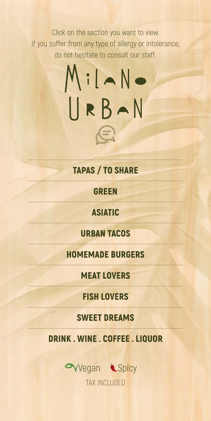<span id="page-0-0"></span>Click on the section you want to view. If you suffer from any type of allergy or intolerance, do not hesitate to consult our staff.

# URBAN

### TAPAS / [TO SHARE](#page-1-0)

### [GREEN](#page-2-0)

[ASIATIC](#page-3-0)

### [URBAN TACOS](#page-3-1)

[HOMEMADE BURGERS](#page-4-0)



### [MEAT LOVERS](#page-5-0)

### [FISH LOVERS](#page-6-0)

### [SWEET DREAMS](#page-7-0)

### DRIN[K . WINE . COFFEE . LIQ](#page-8-0)UOR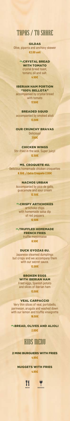### <span id="page-1-0"></span>TAPAS / TO SHARE

### GILDAS

**Olive, piparra and anchovy skewer** €2.00 unit

> **OVCRYSTAL BREAD** WITH TOMATO

**crystal bread toast, tomato, oil and salt.**

4.50€

### IBERIAN HAM PORTION "100% BELLOTA"

**accompanied by crystal bread with tomato**

17.50€

#### BREADED SQUID

**accompanied by smoked alioli** 13.50€

### OUR CRUNCHY BRAVAS **Delicious!** 7.50€

### CHICKEN WINGS

### *<b>OVTRUFFLED HOMEMADE* FRENCH FRIES **truffle mayonnaise**

**Stir-fried in the wok. Super juicy!**  12.50€

### MS. CROQUETE 4U.

**Delicious homemade chicken croquettes** 8.50€ / Extra Croquete 2.00€

#### NACHOS URBAN

**Accompanied by pico de gallo, guacamole and sour cream**

### **WBREAD, OLIVES AND ALIOLI** 2.00€

12.50€

### **QYCRISPY ARTICHOKES**

**artichoke chips**

**with homemade salsa dip of red peppers** 12.50€

8.50€

### DUCK GYOZAS 6U.

**Japanese steamed dumplings but crispy and we accompany them with our secret sauce.**

12.00€

### BROKEN EGGS WITH IBERIAN HAM

**Fried eggs, Spanish potato and slices of Iberian ham** 13.50€

### VEAL CARPACCIO

**Very thin slices of veal, portobello, parmesan, arugula and washed down with our lemon and truffle vinaigrette**



### KIDS MENU

### 2 MINI BURGUERS WITH FRIES 4.95€

### NUGGETS WITH FRIES 4.95€





[MENU](#page-0-0) [BEBIDAS](#page-8-0)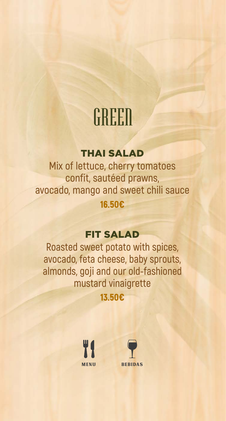### <span id="page-2-0"></span>GREEN

### THAI SALAD

**Mix of lettuce, cherry tomatoes confit, sautéed prawns, avocado, mango and sweet chili sauce** 16.50€

### FIT SALAD

**Roasted sweet potato with spices, avocado, feta cheese, baby sprouts,**

### **almonds, goji and our old-fashioned mustard vinaigrette** 13.50€



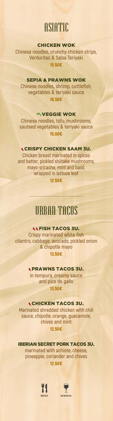### <span id="page-3-1"></span><span id="page-3-0"></span>ASIATIC

### CHICKEN WOK

**Chinese noodles, crunchy chicken strips, Verduritas & Salsa Teriyaki** 15.50€

### SEPIA & PRAWNS WOK

**Chinese noodles, shrimp, cuttlefish, vegetables & teriyaki sauce** 16.50€

### **OVEGGIE WOK**

**Chinese noodles, tofu, mushrooms, sauteed vegetables & teriyaki sauce** 15.00€



### LCRISPY CHICKEN SAAM 3U.

**Chicken breast marinated in spices and batter, pickled shiitake mushrooms, mayo-sriracha, mint and basil, wrapped in lettuce leaf**

12.50€

### URBAN TACOS

### FISH TACOS 3U.

**Crispy marinated white fish cilantro, cabbage, avocado, pickled onion & chipotle mayo** 13.50€

#### PRAWNS TACOS 3U.

**in tempura, creamy sauce and pico de gallo** 13.50€

### CHICKEN TACOS 3U.

**Marinated shredded chicken with chili sauce, chipotle, orange, guacamole, chives and mint** 12.50€

### IBERIAN SECRET PORK TACOS 3U.

**marinated with achiote, cheese, pineapple, coriander and chives** 12.50€



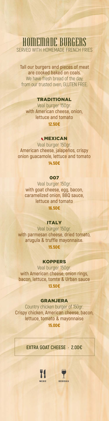### <span id="page-4-0"></span>HOMEMADE BURGERS SERVED WITH HOMEMADE FRENCH FRIES

**Tall our burgers and pieces of meat are cooked baked on coals.** We have fresh bread of the day, from our trusted oven, GLUTEN FREE.

### TRADITIONAL

Veal burger 150gr. **with American cheese, onion, lettuce and tomato** 12.50€

### **CMEXICAN**

Veal burger 150gr. **American cheese, jalapeños, crispy onion guacamole, lettuce and tomato** 14.50€

### 007

Veal burger 150gr. **with goat cheese, egg, bacon, caramelized onion, BBQ sauce, lettuce and tomato** 16.50€

### ITALY

Veal burger 150gr. **with parmesan cheese, dried tomato, arugula & truffle mayonnaise.**

15.50€

### KOPPERS

Veal burger 150gr. **with American cheese, onion rings, bacon, lettuce, tomte & Urban sauce** 13.50€

### GRANJERA

Country chicken burger of 150gr. **Crispy chicken, American cheese, bacon, lettuce, tomato & mayonnaise** 15.00€

**EXTRA GOAT CHEESE · 2.00€**



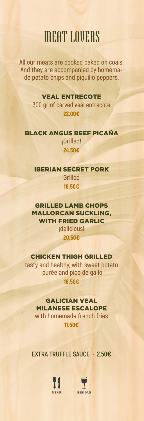### <span id="page-5-0"></span>MEAT LOVERS

**All our meats are cooked baked on coals. And they are accompanied by homemade potato chips and piquillo peppers.**

### VEAL ENTRECOTE

**300 gr of carved veal entrecote** 22.00€

BLACK ANGUS BEEF PICAÑA **¡Grilled!** 24.50€

#### IBERIAN SECRET PORK

**Grilled** 18.50€

### GRILLED LAMB CHOPS MALLORCAN SUCKLING, WITH FRIED GARLIC **¡delicious!** 20.50€

### CHICKEN THIGH GRILLED **tasty and healthy, with sweet potato purée and pico de gallo** 16.50€

### GALICIAN VEAL MILANESE ESCALOPE **with homemade french fries** 17.50€

### **EXTRA TRUFFLE SAUCE · 2.50€**



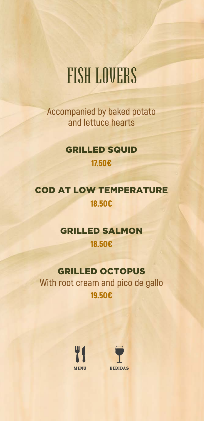### <span id="page-6-0"></span>FISH LOVERS

**Accompanied by baked potato and lettuce hearts**

### GRILLED SQUID 17.50€

### COD AT LOW TEMPERATURE 18.50€

### GRILLED SALMON

18.50€



### GRILLED OCTOPUS **With root cream and pico de gallo** 19.50€



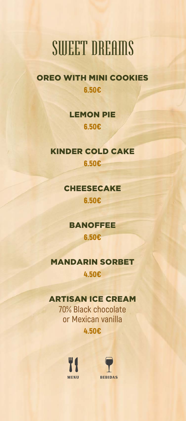### <span id="page-7-0"></span>SWEET DREAMS

### OREO WITH MINI COOKIES 6.50€

### LEMON PIE 6.50€

### KINDER COLD CAKE 6.50€

### CHEESECAKE 6.50€

### BANOFFEE

#### 6.50€

### MANDARIN SORBET 4.50€

### ARTISAN ICE CREAM

### **70% Black chocolate or Mexican vanilla** 4.50€



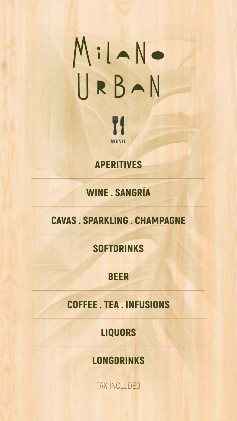# <span id="page-8-0"></span>MiLANO

W<sub>1</sub> **[MENU](#page-0-0)** 

TAX INCLUDED

### [WINE . SANGRÍA](#page-9-0)

### CAVAS . SPARKLING . CHAMPAGNE

### [SOFTDRINKS](#page-10-0)

#### [BEER](#page-10-1)

### [APERITIVES](#page-10-2)

#### [COFFEE . TEA . INFUSIONS](#page-11-0)

### [LIQUORS](#page-11-1)

### [LONGDRINKS](#page-12-0)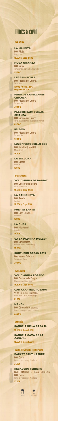## <span id="page-9-0"></span>WINES & CAVA

### RED WINE

LA MALDITA **D.O. Rioja**  Garnacha 16.00€ / Copa 3.50€

### MUGA CRIANZA **D.O. Rioja** Tempranillo, garnacha, mazuelo 25.00€

PAGO DE CAPELLANES CRIANZA **D.O. Ribera del Duero Tempranillo** 

### LEGARIS ROBLE **D.O. Ribera del Duero.** Tinta fina

PSI 2019 **D.O. Ribera del Duero Tempranillo** 

17.00€ / Copa 3.50€ Magnum 35.00€

### 30.50€

PAGO DE CARROVEJAS CRIANZA **D.O. Ribera del Duero** Tinto fino, cabernet sauvignon, merlot 49.50€

48.50€

LUZÓN VERDECILLO ECO **D.O. Jumilla (Juan Gil) Monastrell** 16.50€

**VOL D'ÁNIMA ROSADO D.O. Costers del Segre** Chardonnay, Pinot Noir

LA ESCUCHA **D.O. Bierzo** Mencía 17.50€

WHITE WINE

VOL D'ÁNIMA DE RAIMAT **D.O. Costers del Segre** Chardonay, xarel·lo

15.50€ / Copa 3.50€ LA CAMIONETA **D.O. Rueda** Verdejo

16.00€ / Copa 3.50

#### PUERTA SANTA

**D.O. Rías Baixas** Albariño 17.00€

LA DUDA **D.O. Monterrei** Godello 16.50€

CA SA PADRINA MOLLET **D.O. Binissalem** Prensal Blanc, chardonnay 19.00€

### SOUTHERN OCEAN 2019

**D.o. Nueva Zelanda** Sauvignon Blanc 20.00€

### ROSÉ WINE

m

15.50€ / Copa 3.50€

### CAN AXARTELL ROSADO

**Vi de la Terra, Mallorca.** Pinot Noir, Callet, Mantonegro

21.50€

MANON **D.O. Côtes de Provence** Garnacha negra, syrah, cinsault 22.00€

SANGRÍA SANGRÍA DE LA CASA 1L. 14.50€ / Glass 4.50€

SANGRÍA CAVA DE LA CASA 1L. 18.50€ / Glass 6.00€

#### CAVAS · SPARKLING · CHAMPAGNE

### PARXET BRUT NATURE

**D.O. Cava** Xarel·lo, Macabeo y Parellada 21.50€

### RECADERO TERRERS

**BRUT NATURE - GRAN RESERVA D.O. Cava** Xarel·lo, Macabeo y Parellada 27.00€



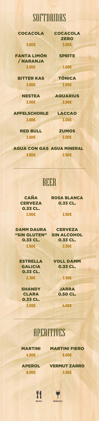### <span id="page-10-1"></span><span id="page-10-0"></span>**SOFTDRINKS**

### COCACOLA COCACOLA

**ZERO** 3.00€ 3.00€

**SPRITE** 

<span id="page-10-2"></span>

FANTA LIMÓN / NARANJA 3.00€ 3.00€

RED BULL ZUMOS 3.50€ 3.00€

BITTER KAS TÓNICA 3.00€ 3.00€

NESTEA AQUARIUS 3.00€ 3.00€

> ROSA BLANCA 0.33 CL.

**CAÑA CERVEZA** 0.33 CL. 2.00€ 2.50€

APFELSCHORLE LACCAO

3.00€ 3.00€

0.33 CL.  $2.50€$  2.30€

**ESTRELLA GALICIA** 0.33 CL. 2.30€ 3.50€

### AGUA CON GAS AGUA MINERAL 3.00€ 2.50€

### BEER

DAMM DAURA CERVEZA "SIN GLUTEN" SIN ALCOHOL

0.33 CL.

VOLL DAMM 0.33 CL.

**SHANDY** CLARA 0.33 CL.  $2.00\epsilon$  4.00€

JARRA 0.50 CL.

### APERITIVES

### MARTINI MARTINI FIERO 4.00€ 6.00€

### APEROL VERMUT ZARRO 6.00€ 3.50€





[MENU](#page-0-0) [BEBIDAS](#page-8-0)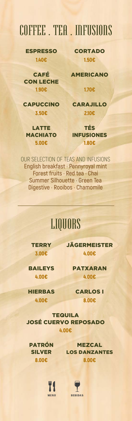### <span id="page-11-0"></span>COFFEE . TEA . INFUSIONS

ESPRESSO CORTADO 1.40€ 1.50€

LATTE **MACHIATO** 

CAFÉ CON LECHE 1.90€ 1.70€

<span id="page-11-1"></span>AMERICANO

CAPUCCINO CARAJILLO 3.50€ 2.10€

> TÉS INFUSIONES 5.00€ 1.80€

OUR SELECTION OF TEAS AND INFUSIONS **English breakfast · Pennyroyal mint Forest fruits · Red tea · Chai Summer Silhouette · Green Tea Digestive · Rooibos · Chamomile**

## LIQUORS

TERRY JÄGERMEISTER 3.00€ 4.00€

BAILEYS PATXARAN 4.00€ 4.00€

HIERBAS CARLOS I

4.00€ 8.00€

TEQUILA

### JOSÉ CUERVO REPOSADO 4.00€

### PATRÓN SILVER

### MEZCAL LOS DANZANTES 8.00€ 8.00€